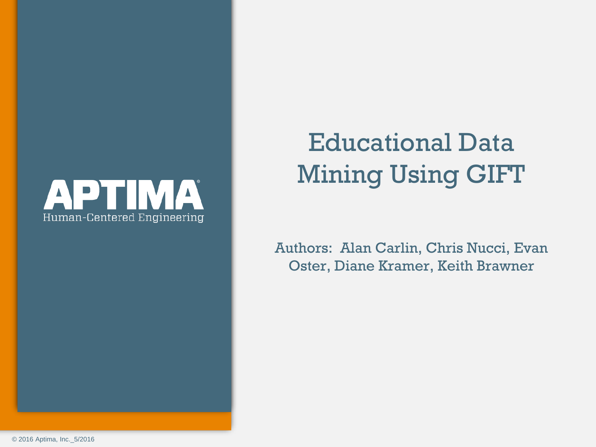

# Educational Data Mining Using GIFT

Authors: Alan Carlin, Chris Nucci, Evan Oster, Diane Kramer, Keith Brawner

© 2016 Aptima, Inc.\_5/2016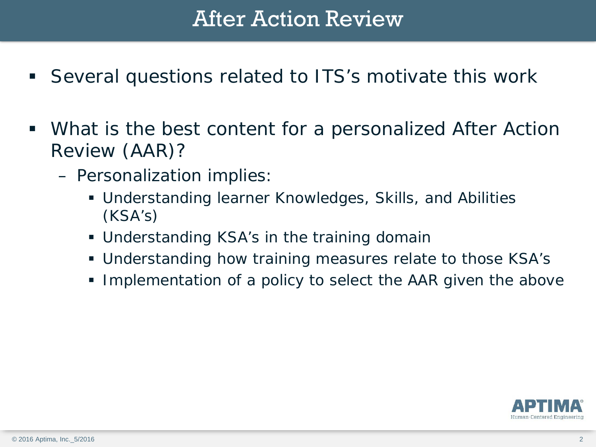# After Action Review

- Several questions related to ITS's motivate this work
- What is the best content for a personalized After Action Review (AAR)?
	- Personalization implies:
		- Understanding learner Knowledges, Skills, and Abilities (KSA's)
		- Understanding KSA's in the training domain
		- Understanding how training measures relate to those KSA's
		- Implementation of a policy to select the AAR given the above

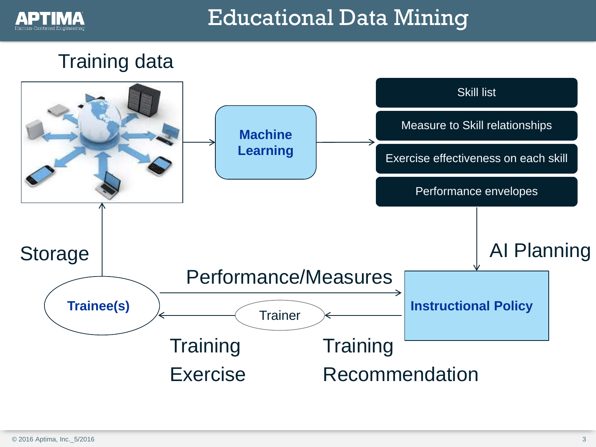

# Educational Data Mining

## Training data

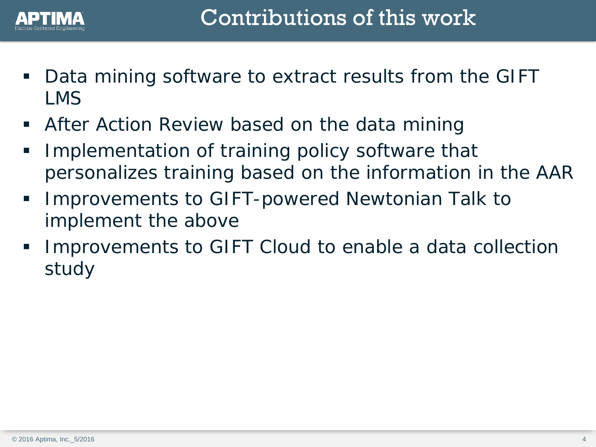

- Data mining software to extract results from the GIFT LMS
- After Action Review based on the data mining
- Implementation of training policy software that personalizes training based on the information in the AAR
- Improvements to GIFT-powered Newtonian Talk to implement the above
- Improvements to GIFT Cloud to enable a data collection study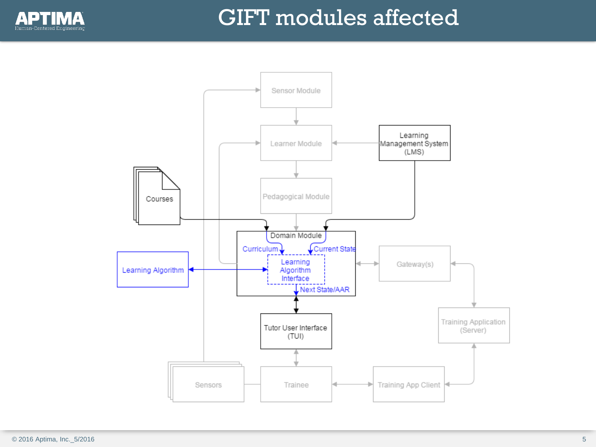

# GIFT modules affected

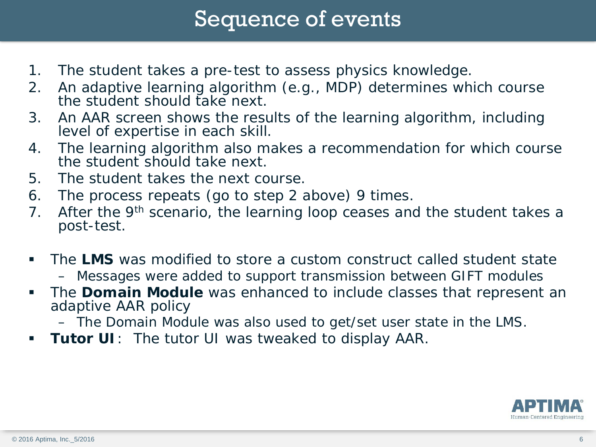## Sequence of events

- 1. The student takes a pre-test to assess physics knowledge.
- 2. An adaptive learning algorithm (e.g., MDP) determines which course the student should take next.
- 3. An AAR screen shows the results of the learning algorithm, including level of expertise in each skill.
- 4. The learning algorithm also makes a recommendation for which course the student should take next.
- 5. The student takes the next course.
- 6. The process repeats (go to step 2 above) 9 times.
- 7. After the 9<sup>th</sup> scenario, the learning loop ceases and the student takes a post-test.
- The **LMS** was modified to store a custom construct called student state – Messages were added to support transmission between GIFT modules
- The **Domain Module** was enhanced to include classes that represent an adaptive AAR policy
	- The Domain Module was also used to get/set user state in the LMS.
- **Tutor UI**: The tutor UI was tweaked to display AAR.

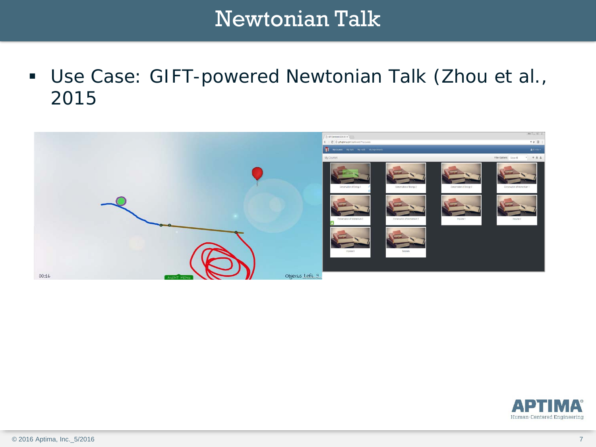# Newtonian Talk

 Use Case: GIFT-powered Newtonian Talk (Zhou et al., 2015



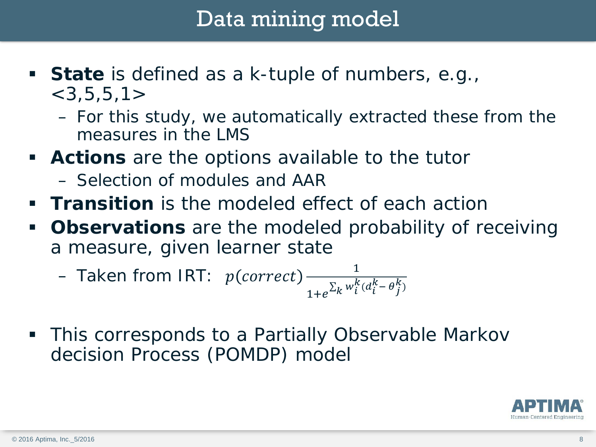# Data mining model

- **State** is defined as a k-tuple of numbers, e.g.,  $<$ 3,5,5,1 $>$ 
	- For this study, we automatically extracted these from the measures in the LMS
- **Actions** are the options available to the tutor
	- Selection of modules and AAR
- **Transition** is the modeled effect of each action
- **Observations** are the modeled probability of receiving a measure, given learner state

- Taken from IRT: 
$$
p(correct) \frac{1}{1+e^{\sum_k w_i^k(d_i^k - \theta_j^k)}}
$$

 This corresponds to a Partially Observable Markov decision Process (POMDP) model

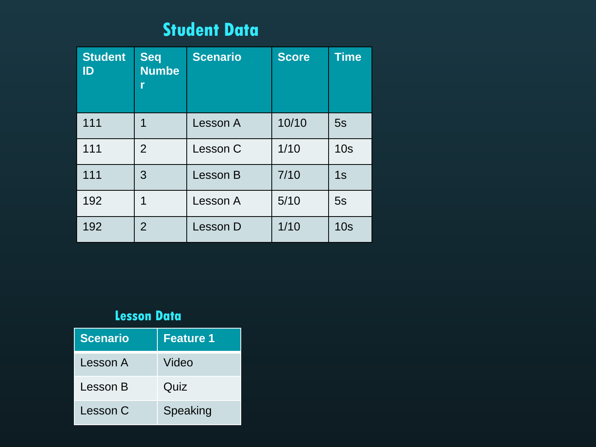## **Student Data**

| <b>Student</b><br>ID | <b>Seq</b><br><b>Numbe</b><br>r | <b>Scenario</b> | <b>Score</b> | <b>Time</b>     |  |
|----------------------|---------------------------------|-----------------|--------------|-----------------|--|
| 111                  | 1                               | Lesson A        | 10/10        | 5s              |  |
| 111                  | $\overline{2}$                  | Lesson C        | 1/10         | 10 <sub>s</sub> |  |
| 111                  | 3                               | Lesson B        | 7/10         | 1s              |  |
| 192                  | 1                               | Lesson A        | 5/10         | 5s              |  |
| 192                  | 2                               | Lesson D        | $1/10$       | 10 <sub>s</sub> |  |

#### **Lesson Data**

| <b>Scenario</b> | <b>Feature 1</b> |
|-----------------|------------------|
| Lesson A        | Video            |
| Lesson B        | Quiz             |
| Lesson C        | Speaking         |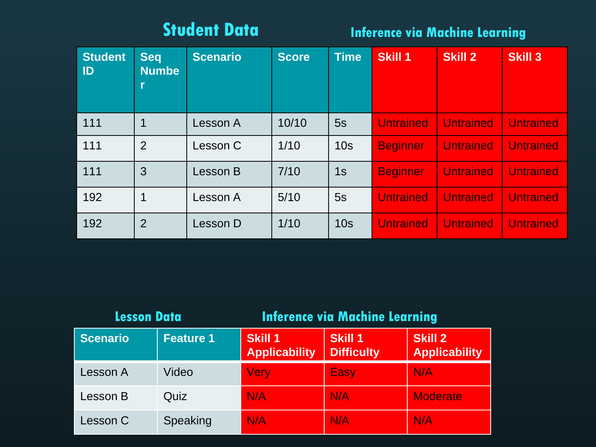### **Student Data**

### **Inference via Machine Learning**

| <b>Student</b><br>ID | <b>Seq</b><br><b>Numbe</b><br>$\mathbf{r}$ | <b>Scenario</b> | <b>Score</b> | <b>Time</b>     | <b>Skill 1</b>   | <b>Skill 2</b>   | <b>Skill 3</b>   |
|----------------------|--------------------------------------------|-----------------|--------------|-----------------|------------------|------------------|------------------|
| 111                  | 1                                          | Lesson A        | 10/10        | 5s              | <b>Untrained</b> | <b>Untrained</b> | <b>Untrained</b> |
| 111                  | $\overline{2}$                             | Lesson C        | 1/10         | 10 <sub>s</sub> | <b>Beginner</b>  | <b>Untrained</b> | <b>Untrained</b> |
| 111                  | 3                                          | Lesson B        | 7/10         | 1s              | <b>Beginner</b>  | <b>Untrained</b> | <b>Untrained</b> |
| 192                  | 1                                          | Lesson A        | 5/10         | 5s              | <b>Untrained</b> | <b>Untrained</b> | <b>Untrained</b> |
| 192                  | $\overline{2}$                             | Lesson D        | 1/10         | 10 <sub>s</sub> | <b>Untrained</b> | <b>Untrained</b> | <b>Untrained</b> |

| <b>Lesson Data</b> |                  | <b>Inference via Machine Learning</b> |                                     |                                        |  |  |
|--------------------|------------------|---------------------------------------|-------------------------------------|----------------------------------------|--|--|
| <b>Scenario</b>    | <b>Feature 1</b> | Skill 1<br><b>Applicability</b>       | <b>Skill 1</b><br><b>Difficulty</b> | <b>Skill 2</b><br><b>Applicability</b> |  |  |
| Lesson A           | Video            | <b>Very</b>                           | Easy                                | N/A                                    |  |  |
| Lesson B           | Quiz             | N/A                                   | N/A                                 | <b>Moderate</b>                        |  |  |
| Lesson C           | Speaking         | N/A                                   | N/A                                 | N/A                                    |  |  |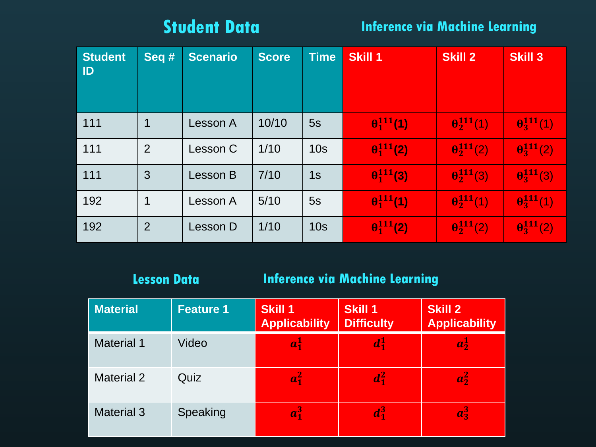### **Student Data**

**Inference via Machine Learning**

| <b>Student</b><br>ID | Seq #          | <b>Scenario</b> | <b>Score</b> | <b>Time</b>     | Skill 1             | <b>Skill 2</b>      | <b>Skill 3</b>      |
|----------------------|----------------|-----------------|--------------|-----------------|---------------------|---------------------|---------------------|
| 111                  | 1              | Lesson A        | 10/10        | 5s              | $\theta_1^{111}(1)$ | $\theta_2^{111}(1)$ | $\theta_3^{111}(1)$ |
| 111                  | 2              | Lesson C        | 1/10         | 10 <sub>s</sub> | $\theta_1^{111}(2)$ | $\theta_2^{111}(2)$ | $\theta_3^{111}(2)$ |
| 111                  | 3              | Lesson B        | 7/10         | 1s              | $\theta_1^{111}(3)$ | $\theta_2^{111}(3)$ | $\theta_3^{111}(3)$ |
| 192                  | $\mathbf 1$    | Lesson A        | $5/10$       | 5s              | $\theta_1^{111}(1)$ | $\theta_2^{111}(1)$ | $\theta_3^{111}(1)$ |
| 192                  | $\overline{2}$ | Lesson D        | 1/10         | 10 <sub>s</sub> | $\theta_1^{111}(2)$ | $\theta_2^{111}(2)$ | $\theta_3^{111}(2)$ |

#### **Lesson Data**

#### **Inference via Machine Learning**

| <b>Material</b>   | <b>Feature 1</b> | <b>Skill 1</b><br><b>Applicability</b> | <b>Skill 1</b><br><b>Difficulty</b> | <b>Skill 2</b><br><b>Applicability</b> |
|-------------------|------------------|----------------------------------------|-------------------------------------|----------------------------------------|
| <b>Material 1</b> | Video            | $a_1^1$                                | $d_1^1$                             | $a_2^1$                                |
| <b>Material 2</b> | Quiz             | $a_1^2$                                | $d_1^2$                             | $a_2^2$                                |
| <b>Material 3</b> | Speaking         | $a_1^3$                                | $d_1^3$                             | $a_3^3$                                |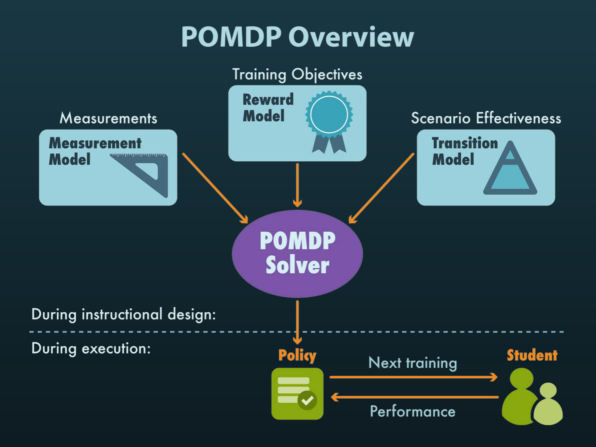# **POMDP Overview**

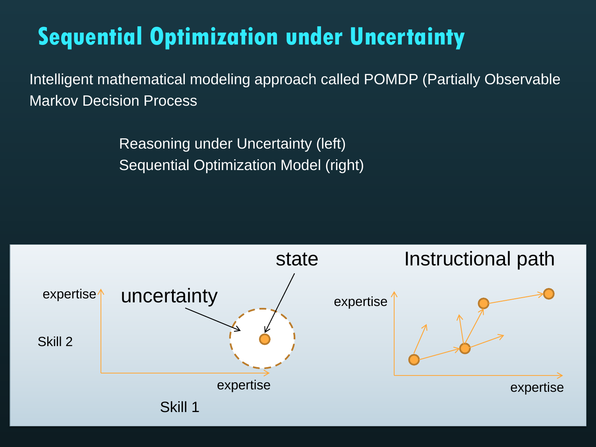# **Sequential Optimization under Uncertainty**

Intelligent mathematical modeling approach called POMDP (Partially Observable Markov Decision Process

> Reasoning under Uncertainty (left) Sequential Optimization Model (right)

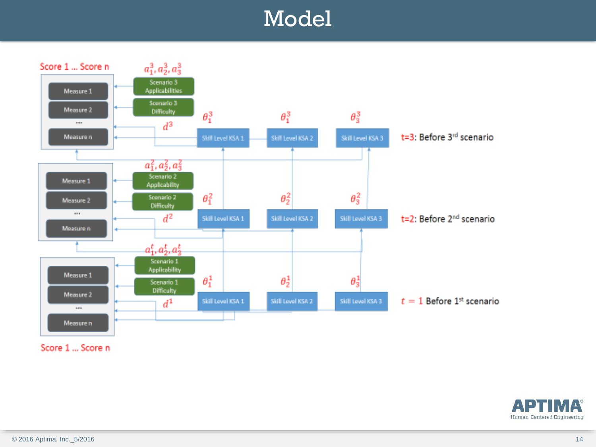# Model



Score 1 ... Score n

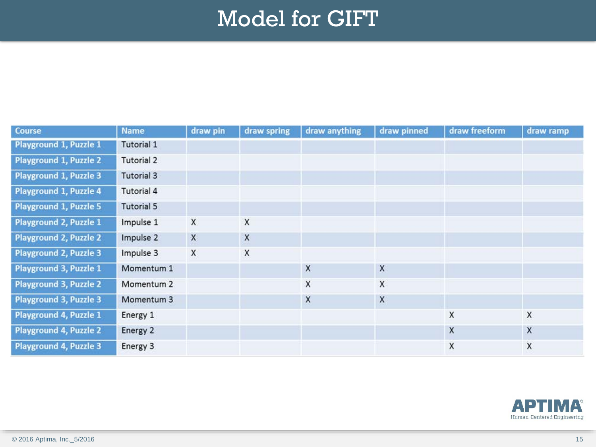# Model for GIFT

| Course                 | <b>Name</b>           | draw pin | draw spring | draw anything | draw pinned | draw freeform | draw ramp |
|------------------------|-----------------------|----------|-------------|---------------|-------------|---------------|-----------|
| Playground 1, Puzzle 1 | Tutorial 1            |          |             |               |             |               |           |
| Playground 1, Puzzle 2 | Tutorial 2            |          |             |               |             |               |           |
| Playground 1, Puzzle 3 | <b>Tutorial 3</b>     |          |             |               |             |               |           |
| Playground 1, Puzzle 4 | Tutorial 4            |          |             |               |             |               |           |
| Playground 1, Puzzle 5 | <b>Tutorial 5</b>     |          |             |               |             |               |           |
| Playground 2, Puzzle 1 | Impulse 1             | X        | X           |               |             |               |           |
| Playground 2, Puzzle 2 | Impulse 2             | X        | X           |               |             |               |           |
| Playground 2, Puzzle 3 | Impulse 3             | X        | X           |               |             |               |           |
| Playground 3, Puzzle 1 | Momentum 1            |          |             | X             | X           |               |           |
| Playground 3, Puzzle 2 | Momentum <sub>2</sub> |          |             | X             | X           |               |           |
| Playground 3, Puzzle 3 | Momentum 3            |          |             | $\mathsf X$   | X           |               |           |
| Playground 4, Puzzle 1 | Energy 1              |          |             |               |             | X             | X         |
| Playground 4, Puzzle 2 | Energy 2              |          |             |               |             | X             | X         |
| Playground 4, Puzzle 3 | Energy 3              |          |             |               |             | X             | X         |

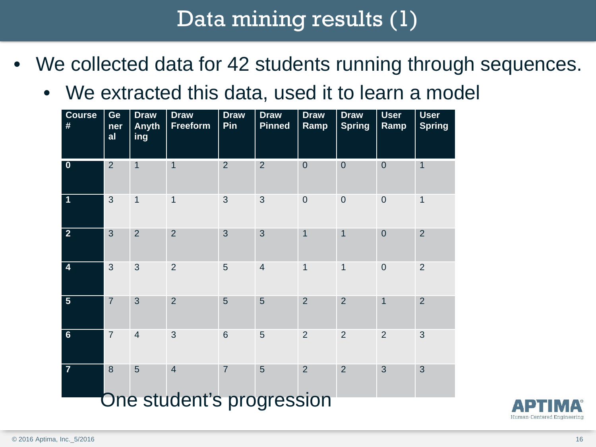# Data mining results (1)

- We collected data for 42 students running through sequences.
	- We extracted this data, used it to learn a model

| <b>Course</b><br>#      | Ge<br>ner<br>al | <b>Draw</b><br><b>Anyth</b><br>ing | <b>Draw</b><br>Freeform   | <b>Draw</b><br>Pin | <b>Draw</b><br><b>Pinned</b> | <b>Draw</b><br>Ramp | <b>Draw</b><br><b>Spring</b> | <b>User</b><br>Ramp | <b>User</b><br><b>Spring</b> |
|-------------------------|-----------------|------------------------------------|---------------------------|--------------------|------------------------------|---------------------|------------------------------|---------------------|------------------------------|
| $\overline{\mathbf{0}}$ | $\overline{2}$  | 1                                  | 1                         | $\overline{2}$     | $\overline{2}$               | $\mathbf{0}$        | $\mathbf 0$                  | $\mathbf 0$         | $\mathbf 1$                  |
| 1                       | 3               | $\overline{1}$                     | $\overline{1}$            | 3                  | 3                            | $\mathbf 0$         | $\overline{0}$               | $\overline{0}$      | $\mathbf 1$                  |
| $\overline{2}$          | 3               | $\overline{2}$                     | $\overline{2}$            | 3                  | 3                            | $\mathbf 1$         | 1                            | $\overline{0}$      | $\overline{2}$               |
| $\overline{4}$          | 3               | 3                                  | $\overline{2}$            | 5                  | $\overline{4}$               | $\mathbf{1}$        | $\mathbf{1}$                 | $\overline{0}$      | $\overline{2}$               |
| $5\phantom{1}$          | $\overline{7}$  | 3                                  | $\overline{2}$            | 5                  | 5                            | $\overline{2}$      | $\overline{2}$               | $\overline{1}$      | $\overline{2}$               |
| $6\phantom{1}$          | $\overline{7}$  | $\overline{4}$                     | 3                         | $6\phantom{1}$     | $\overline{5}$               | $\overline{2}$      | $\overline{2}$               | $\overline{2}$      | 3                            |
| $\overline{7}$          | $\overline{8}$  | 5                                  | $\overline{4}$            | $\overline{7}$     | 5                            | $\overline{2}$      | $\overline{2}$               | 3                   | 3                            |
|                         |                 |                                    | One student's progression |                    |                              |                     |                              |                     |                              |

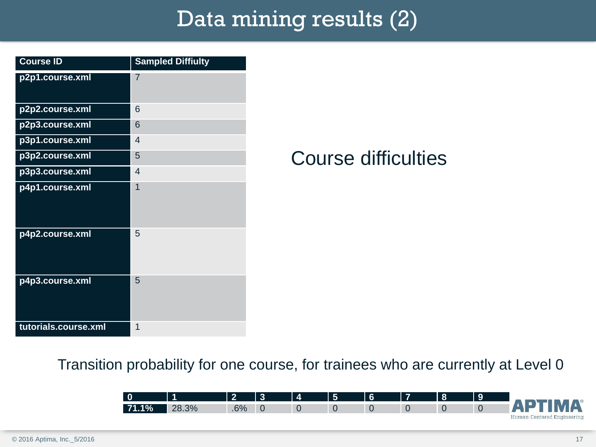# Data mining results (2)

| <b>Course ID</b>     | <b>Sampled Diffiulty</b> |
|----------------------|--------------------------|
| p2p1.course.xml      | 7                        |
| p2p2.course.xml      | 6                        |
| p2p3.course.xml      | 6                        |
| p3p1.course.xml      | $\overline{4}$           |
| p3p2.course.xml      | 5                        |
| p3p3.course.xml      | $\overline{4}$           |
| p4p1.course.xml      | 1                        |
| p4p2.course.xml      | 5                        |
| p4p3.course.xml      | 5                        |
| tutorials.course.xml | 1                        |

## Course difficulties

Transition probability for one course, for trainees who are currently at Level 0

| $\overline{\phantom{a}}$ |       | $\bullet$ | ె | $\boldsymbol{\Lambda}$ | l 5 | l 6 | 17 | l 8 |                            |
|--------------------------|-------|-----------|---|------------------------|-----|-----|----|-----|----------------------------|
| 71.1%                    | 28.3% | 6%        |   | U                      |     |     |    |     | <b>ADTIMA®</b>             |
|                          |       |           |   |                        |     |     |    |     | Human-Centered Engineering |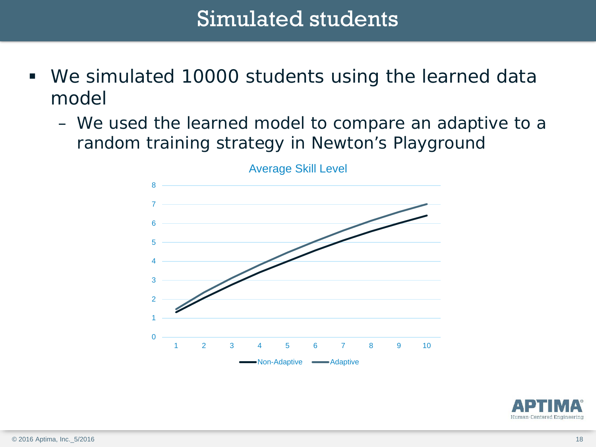# Simulated students

- We simulated 10000 students using the learned data model
	- We used the learned model to compare an adaptive to a random training strategy in Newton's Playground



Average Skill Level

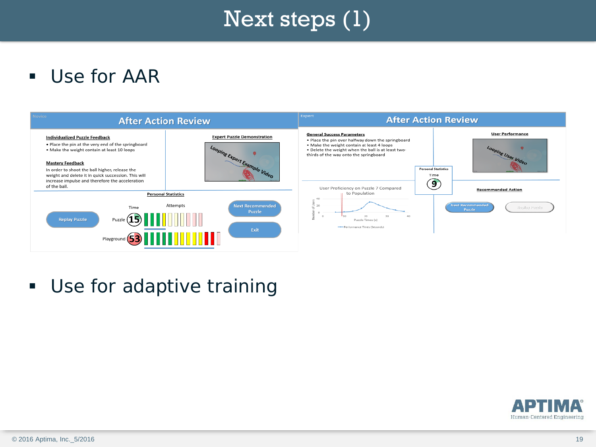# Next steps (1)

**Use for AAR** 



**Use for adaptive training** 

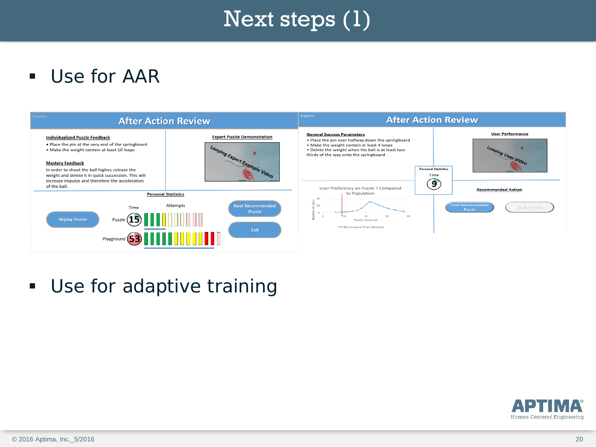# Next steps (1)

**Use for AAR** 



**Use for adaptive training** 

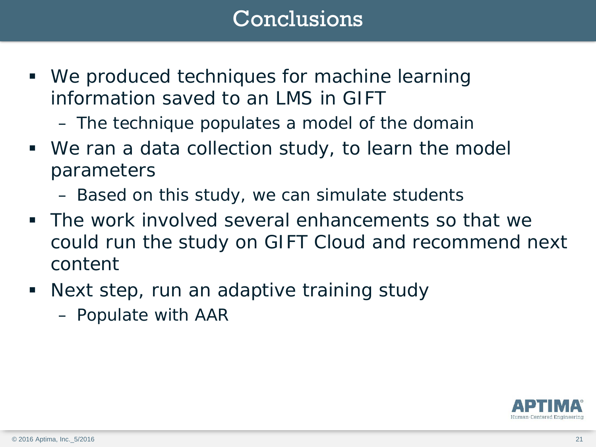# Conclusions

- We produced techniques for machine learning information saved to an LMS in GIFT
	- The technique populates a model of the domain
- We ran a data collection study, to learn the model parameters
	- Based on this study, we can simulate students
- The work involved several enhancements so that we could run the study on GIFT Cloud and recommend next content
- Next step, run an adaptive training study
	- Populate with AAR